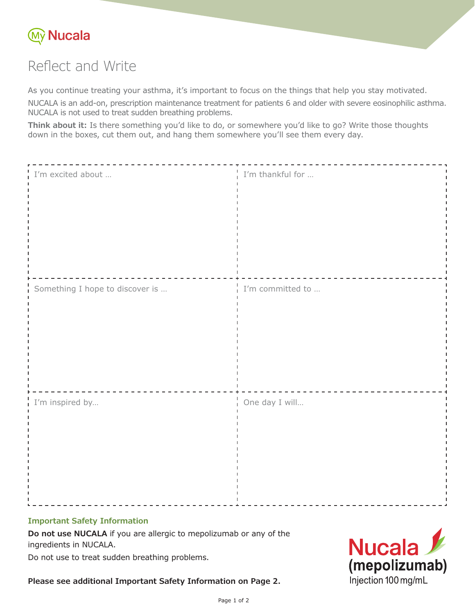

# Reflect and Write

As you continue treating your asthma, it's important to focus on the things that help you stay motivated.

NUCALA is an add-on, prescription maintenance treatment for patients 6 and older with severe eosinophilic asthma. NUCALA is not used to treat sudden breathing problems.

**Think about it:** Is there something you'd like to do, or somewhere you'd like to go? Write those thoughts down in the boxes, cut them out, and hang them somewhere you'll see them every day.

| I'm excited about               | I'm thankful for             |
|---------------------------------|------------------------------|
| Something I hope to discover is | I.<br>I'm committed to<br>ī. |
| I'm inspired by                 | One day I will               |

#### **Important Safety Information**

**Do not use NUCALA** if you are allergic to mepolizumab or any of the ingredients in NUCALA.

Do not use to treat sudden breathing problems.

**Please see additional Important Safety Information on Page 2.**